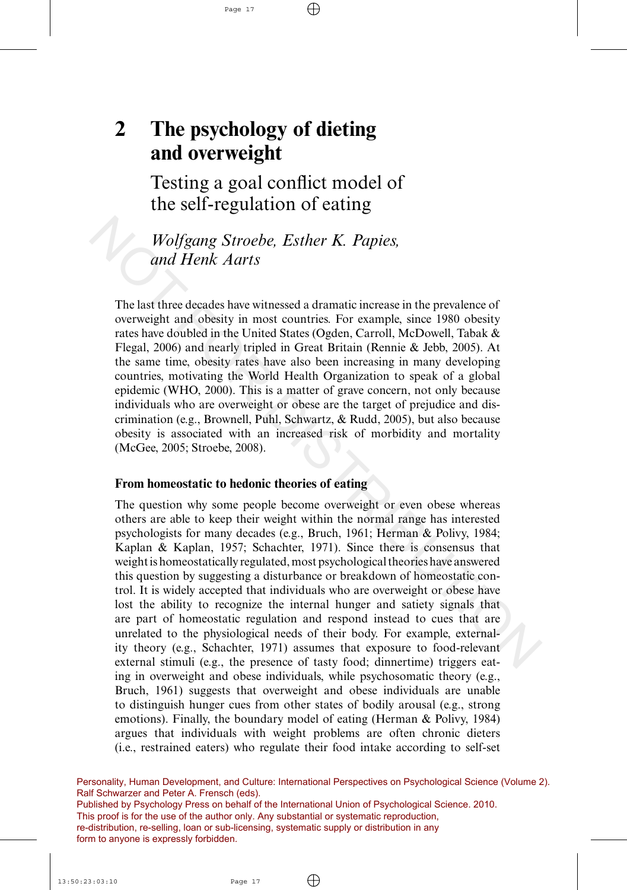## $\oplus$

# **2 The psychology of dieting and overweight**

Testing a goal conflict model of the self-regulation of eating

*Wolfgang Stroebe, Esther K. Papies, and Henk Aarts*

The last three decades have witnessed a dramatic increase in the prevalence of overweight and obesity in most countries. For example, since 1980 obesity rates have doubled in the United States (Ogden, Carroll, McDowell, Tabak & Flegal, 2006) and nearly tripled in Great Britain (Rennie & Jebb, 2005). At the same time, obesity rates have also been increasing in many developing countries, motivating the World Health Organization to speak of a global epidemic (WHO, 2000). This is a matter of grave concern, not only because individuals who are overweight or obese are the target of prejudice and discrimination (e.g., Brownell, Puhl, Schwartz, & Rudd, 2005), but also because obesity is associated with an increased risk of morbidity and mortality (McGee, 2005; Stroebe, 2008).

#### **From homeostatic to hedonic theories of eating**

*Wolfgang Stroebe, Esther K. Papies,*<br>
and Henk Aarts<br>
and Henk Aarts<br>
The last three decades have witnessed a dramatic increase in the prevalence of<br>
overweight and obsity in most countries. For example, since 1980 obsit The question why some people become overweight or even obese whereas others are able to keep their weight within the normal range has interested psychologists for many decades (e.g., Bruch, 1961; Herman & Polivy, 1984; Kaplan & Kaplan, 1957; Schachter, 1971). Since there is consensus that weight is homeostatically regulated, most psychological theories have answered this question by suggesting a disturbance or breakdown of homeostatic control. It is widely accepted that individuals who are overweight or obese have lost the ability to recognize the internal hunger and satiety signals that are part of homeostatic regulation and respond instead to cues that are unrelated to the physiological needs of their body. For example, externality theory (e.g., Schachter, 1971) assumes that exposure to food-relevant external stimuli (e.g., the presence of tasty food; dinnertime) triggers eating in overweight and obese individuals, while psychosomatic theory (e.g., Bruch, 1961) suggests that overweight and obese individuals are unable to distinguish hunger cues from other states of bodily arousal (e.g., strong emotions). Finally, the boundary model of eating (Herman & Polivy, 1984) argues that individuals with weight problems are often chronic dieters (i.e., restrained eaters) who regulate their food intake according to self-set

Personality, Human Development, and Culture: International Perspectives on Psychological Science (Volume 2). Ralf Schwarzer and Peter A. Frensch (eds).

Published by Psychology Press on behalf of the International Union of Psychological Science. 2010. This proof is for the use of the author only. Any substantial or systematic reproduction, re-distribution, re-selling, loan or sub-licensing, systematic supply or distribution in any form to anyone is expressly forbidden.

13:50:23:03:10

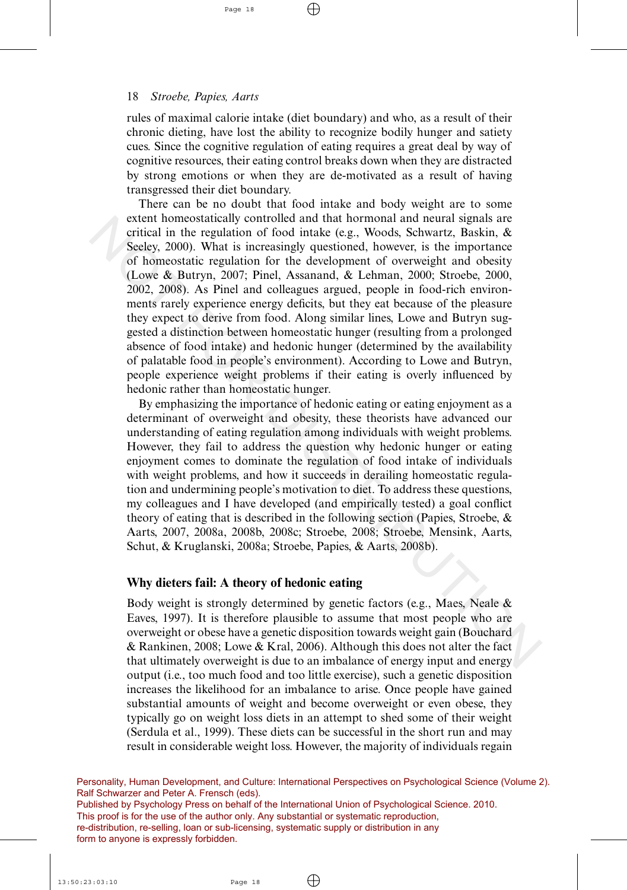# ⊕

# 18 *Stroebe, Papies, Aarts*

rules of maximal calorie intake (diet boundary) and who, as a result of their chronic dieting, have lost the ability to recognize bodily hunger and satiety cues. Since the cognitive regulation of eating requires a great deal by way of cognitive resources, their eating control breaks down when they are distracted by strong emotions or when they are de-motivated as a result of having transgressed their diet boundary.

extern homeostatically controlled and that hormonal and neural signals are<br>
ericical in the regulation of food intake (e.g., Woods, Schwartz, Baskin, &<br>
Seeley, 2000). What is increasingly questioned, however, is the impo There can be no doubt that food intake and body weight are to some extent homeostatically controlled and that hormonal and neural signals are critical in the regulation of food intake (e.g., Woods, Schwartz, Baskin, & Seeley, 2000). What is increasingly questioned, however, is the importance of homeostatic regulation for the development of overweight and obesity (Lowe & Butryn, 2007; Pinel, Assanand, & Lehman, 2000; Stroebe, 2000, 2002, 2008). As Pinel and colleagues argued, people in food-rich environments rarely experience energy deficits, but they eat because of the pleasure they expect to derive from food. Along similar lines, Lowe and Butryn suggested a distinction between homeostatic hunger (resulting from a prolonged absence of food intake) and hedonic hunger (determined by the availability of palatable food in people's environment). According to Lowe and Butryn, people experience weight problems if their eating is overly influenced by hedonic rather than homeostatic hunger.

By emphasizing the importance of hedonic eating or eating enjoyment as a determinant of overweight and obesity, these theorists have advanced our understanding of eating regulation among individuals with weight problems. However, they fail to address the question why hedonic hunger or eating enjoyment comes to dominate the regulation of food intake of individuals with weight problems, and how it succeeds in derailing homeostatic regulation and undermining people's motivation to diet. To address these questions, my colleagues and I have developed (and empirically tested) a goal conflict theory of eating that is described in the following section (Papies, Stroebe, & Aarts, 2007, 2008a, 2008b, 2008c; Stroebe, 2008; Stroebe, Mensink, Aarts, Schut, & Kruglanski, 2008a; Stroebe, Papies, & Aarts, 2008b).

# **Why dieters fail: A theory of hedonic eating**

Body weight is strongly determined by genetic factors (e.g., Maes, Neale & Eaves, 1997). It is therefore plausible to assume that most people who are overweight or obese have a genetic disposition towards weight gain (Bouchard & Rankinen, 2008; Lowe & Kral, 2006). Although this does not alter the fact that ultimately overweight is due to an imbalance of energy input and energy output (i.e., too much food and too little exercise), such a genetic disposition increases the likelihood for an imbalance to arise. Once people have gained substantial amounts of weight and become overweight or even obese, they typically go on weight loss diets in an attempt to shed some of their weight (Serdula et al., 1999). These diets can be successful in the short run and may result in considerable weight loss. However, the majority of individuals regain

Personality, Human Development, and Culture: International Perspectives on Psychological Science (Volume 2). Ralf Schwarzer and Peter A. Frensch (eds).

Æ

Published by Psychology Press on behalf of the International Union of Psychological Science. 2010. This proof is for the use of the author only. Any substantial or systematic reproduction, re-distribution, re-selling, loan or sub-licensing, systematic supply or distribution in any form to anyone is expressly forbidden.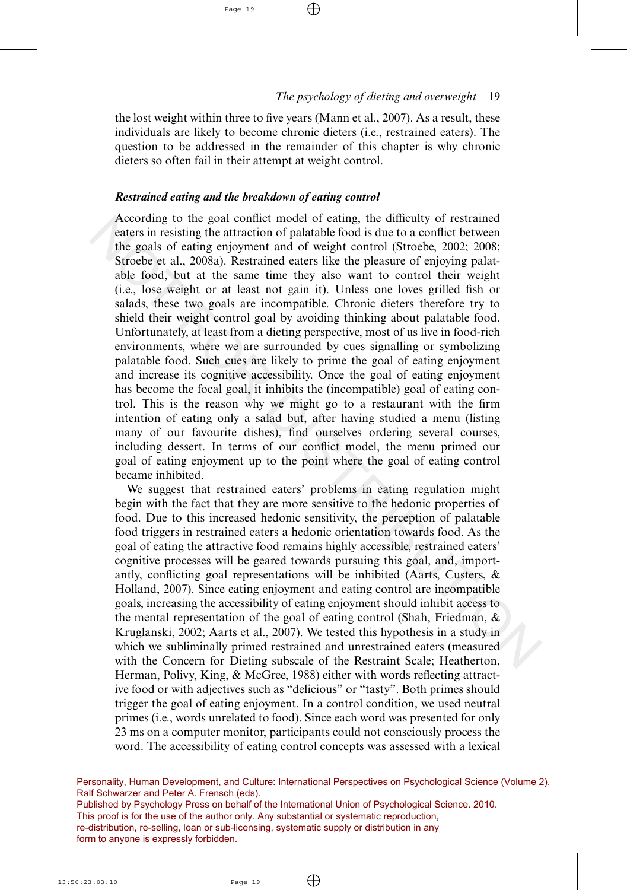$\oplus$ 

#### *The psychology of dieting and overweight* 19

the lost weight within three to five years (Mann et al., 2007). As a result, these individuals are likely to become chronic dieters (i.e., restrained eaters). The question to be addressed in the remainder of this chapter is why chronic dieters so often fail in their attempt at weight control.

#### *Restrained eating and the breakdown of eating control*

According to the goal continel model of eating, the diretually of restrained cates in resisting the dataction of palatable lood is due to a conflict between<br>the goals of eating enjoyment and of weight control (Stroebe, 20 According to the goal conflict model of eating, the difficulty of restrained eaters in resisting the attraction of palatable food is due to a conflict between the goals of eating enjoyment and of weight control (Stroebe, 2002; 2008; Stroebe et al., 2008a). Restrained eaters like the pleasure of enjoying palatable food, but at the same time they also want to control their weight (i.e., lose weight or at least not gain it). Unless one loves grilled fish or salads, these two goals are incompatible. Chronic dieters therefore try to shield their weight control goal by avoiding thinking about palatable food. Unfortunately, at least from a dieting perspective, most of us live in food-rich environments, where we are surrounded by cues signalling or symbolizing palatable food. Such cues are likely to prime the goal of eating enjoyment and increase its cognitive accessibility. Once the goal of eating enjoyment has become the focal goal, it inhibits the (incompatible) goal of eating control. This is the reason why we might go to a restaurant with the firm intention of eating only a salad but, after having studied a menu (listing many of our favourite dishes), find ourselves ordering several courses, including dessert. In terms of our conflict model, the menu primed our goal of eating enjoyment up to the point where the goal of eating control became inhibited.

We suggest that restrained eaters' problems in eating regulation might begin with the fact that they are more sensitive to the hedonic properties of food. Due to this increased hedonic sensitivity, the perception of palatable food triggers in restrained eaters a hedonic orientation towards food. As the goal of eating the attractive food remains highly accessible, restrained eaters' cognitive processes will be geared towards pursuing this goal, and, importantly, conflicting goal representations will be inhibited (Aarts, Custers, & Holland, 2007). Since eating enjoyment and eating control are incompatible goals, increasing the accessibility of eating enjoyment should inhibit access to the mental representation of the goal of eating control (Shah, Friedman, & Kruglanski, 2002; Aarts et al., 2007). We tested this hypothesis in a study in which we subliminally primed restrained and unrestrained eaters (measured with the Concern for Dieting subscale of the Restraint Scale; Heatherton, Herman, Polivy, King, & McGree, 1988) either with words reflecting attractive food or with adjectives such as "delicious" or "tasty". Both primes should trigger the goal of eating enjoyment. In a control condition, we used neutral primes (i.e., words unrelated to food). Since each word was presented for only 23 ms on a computer monitor, participants could not consciously process the word. The accessibility of eating control concepts was assessed with a lexical

Personality, Human Development, and Culture: International Perspectives on Psychological Science (Volume 2). Ralf Schwarzer and Peter A. Frensch (eds).

 $\oplus$ 

Published by Psychology Press on behalf of the International Union of Psychological Science. 2010. This proof is for the use of the author only. Any substantial or systematic reproduction, re-distribution, re-selling, loan or sub-licensing, systematic supply or distribution in any form to anyone is expressly forbidden.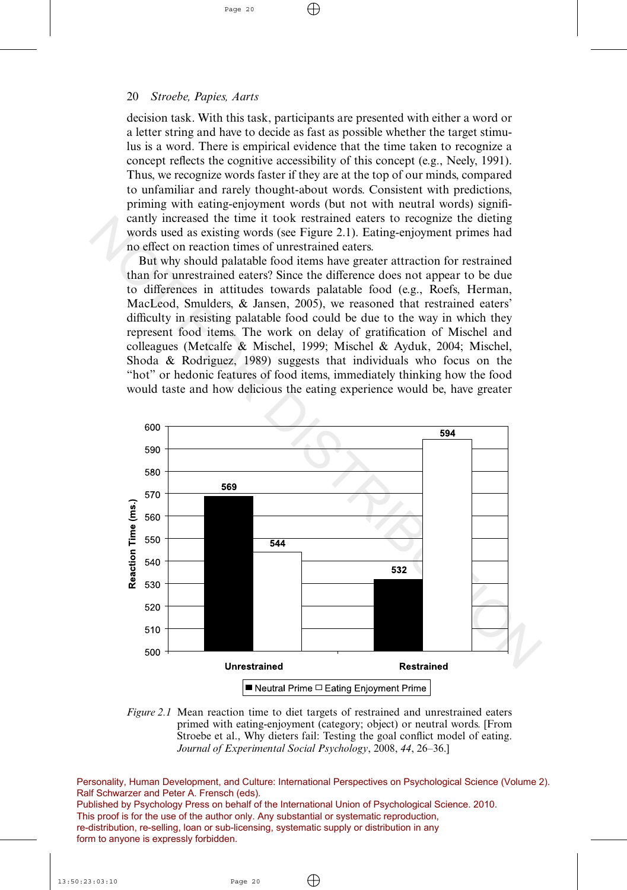# $\oplus$

#### 20 *Stroebe, Papies, Aarts*

decision task. With this task, participants are presented with either a word or a letter string and have to decide as fast as possible whether the target stimulus is a word. There is empirical evidence that the time taken to recognize a concept reflects the cognitive accessibility of this concept (e.g., Neely, 1991). Thus, we recognize words faster if they are at the top of our minds, compared to unfamiliar and rarely thought-about words. Consistent with predictions, priming with eating-enjoyment words (but not with neutral words) significantly increased the time it took restrained eaters to recognize the dieting words used as existing words (see Figure 2.1). Eating-enjoyment primes had no effect on reaction times of unrestrained eaters.

But why should palatable food items have greater attraction for restrained than for unrestrained eaters? Since the difference does not appear to be due to differences in attitudes towards palatable food (e.g., Roefs, Herman, MacLeod, Smulders, & Jansen, 2005), we reasoned that restrained eaters' difficulty in resisting palatable food could be due to the way in which they represent food items. The work on delay of gratification of Mischel and colleagues (Metcalfe & Mischel, 1999; Mischel & Ayduk, 2004; Mischel, Shoda & Rodriguez, 1989) suggests that individuals who focus on the "hot" or hedonic features of food items, immediately thinking how the food would taste and how delicious the eating experience would be, have greater





Personality, Human Development, and Culture: International Perspectives on Psychological Science (Volume 2). Ralf Schwarzer and Peter A. Frensch (eds). Published by Psychology Press on behalf of the International Union of Psychological Science. 2010. This proof is for the use of the author only. Any substantial or systematic reproduction, re-distribution, re-selling, loan or sub-licensing, systematic supply or distribution in any form to anyone is expressly forbidden.

 $\oplus$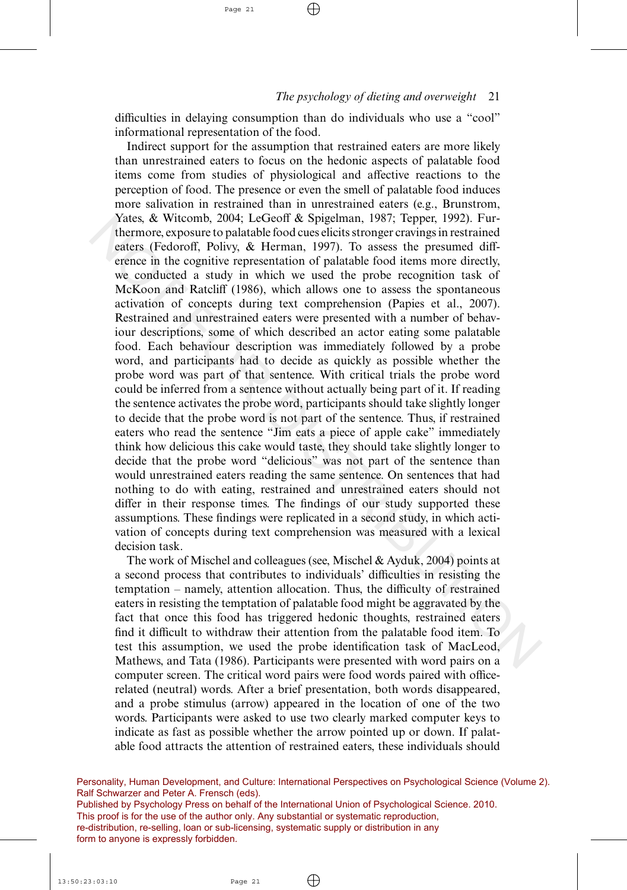$\oplus$ 

#### *The psychology of dieting and overweight* 21

difficulties in delaying consumption than do individuals who use a "cool" informational representation of the food.

Yaks, & Witcomh, 2004; LeGcoft & Spigelman, 1997; lepper, 1992; Furthermore, exposure to palatable food cues elicits stronger cravings in restanted eaters. (Fedoroff, Polivy, & Herman, 1997). To assess the presumed differe Indirect support for the assumption that restrained eaters are more likely than unrestrained eaters to focus on the hedonic aspects of palatable food items come from studies of physiological and affective reactions to the perception of food. The presence or even the smell of palatable food induces more salivation in restrained than in unrestrained eaters (e.g., Brunstrom, Yates, & Witcomb, 2004; LeGeoff & Spigelman, 1987; Tepper, 1992). Furthermore, exposure to palatable food cues elicits stronger cravings in restrained eaters (Fedoroff, Polivy, & Herman, 1997). To assess the presumed difference in the cognitive representation of palatable food items more directly, we conducted a study in which we used the probe recognition task of McKoon and Ratcliff (1986), which allows one to assess the spontaneous activation of concepts during text comprehension (Papies et al., 2007). Restrained and unrestrained eaters were presented with a number of behaviour descriptions, some of which described an actor eating some palatable food. Each behaviour description was immediately followed by a probe word, and participants had to decide as quickly as possible whether the probe word was part of that sentence. With critical trials the probe word could be inferred from a sentence without actually being part of it. If reading the sentence activates the probe word, participants should take slightly longer to decide that the probe word is not part of the sentence. Thus, if restrained eaters who read the sentence "Jim eats a piece of apple cake" immediately think how delicious this cake would taste, they should take slightly longer to decide that the probe word "delicious" was not part of the sentence than would unrestrained eaters reading the same sentence. On sentences that had nothing to do with eating, restrained and unrestrained eaters should not differ in their response times. The findings of our study supported these assumptions. These findings were replicated in a second study, in which activation of concepts during text comprehension was measured with a lexical decision task.

The work of Mischel and colleagues (see, Mischel & Ayduk, 2004) points at a second process that contributes to individuals' difficulties in resisting the temptation – namely, attention allocation. Thus, the difficulty of restrained eaters in resisting the temptation of palatable food might be aggravated by the fact that once this food has triggered hedonic thoughts, restrained eaters find it difficult to withdraw their attention from the palatable food item. To test this assumption, we used the probe identification task of MacLeod, Mathews, and Tata (1986). Participants were presented with word pairs on a computer screen. The critical word pairs were food words paired with officerelated (neutral) words. After a brief presentation, both words disappeared, and a probe stimulus (arrow) appeared in the location of one of the two words. Participants were asked to use two clearly marked computer keys to indicate as fast as possible whether the arrow pointed up or down. If palatable food attracts the attention of restrained eaters, these individuals should

Personality, Human Development, and Culture: International Perspectives on Psychological Science (Volume 2). Ralf Schwarzer and Peter A. Frensch (eds).

 $\oplus$ 

Published by Psychology Press on behalf of the International Union of Psychological Science. 2010. This proof is for the use of the author only. Any substantial or systematic reproduction, re-distribution, re-selling, loan or sub-licensing, systematic supply or distribution in any form to anyone is expressly forbidden.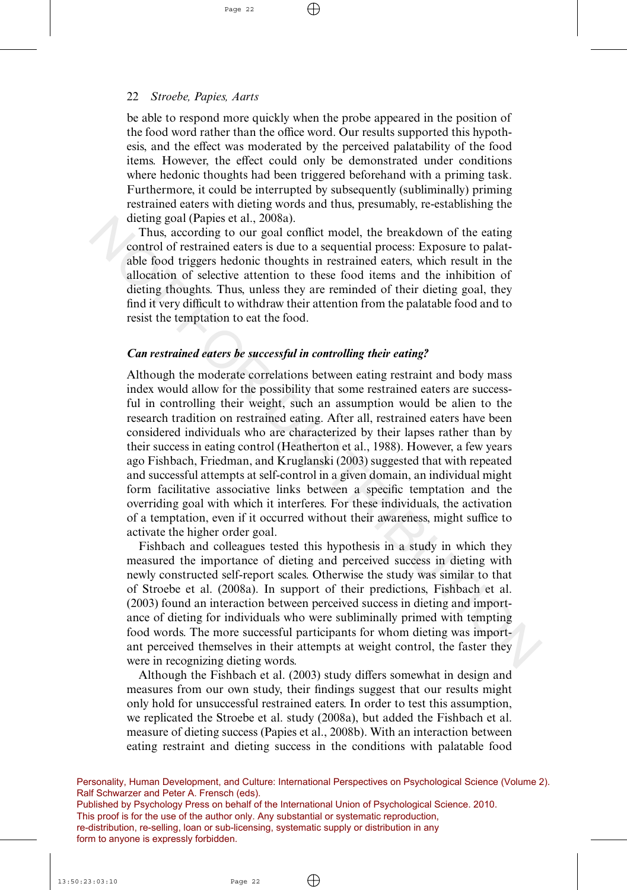#### $\oplus$

#### 22 *Stroebe, Papies, Aarts*

be able to respond more quickly when the probe appeared in the position of the food word rather than the office word. Our results supported this hypothesis, and the effect was moderated by the perceived palatability of the food items. However, the effect could only be demonstrated under conditions where hedonic thoughts had been triggered beforehand with a priming task. Furthermore, it could be interrupted by subsequently (subliminally) priming restrained eaters with dieting words and thus, presumably, re-establishing the dieting goal (Papies et al., 2008a).

Thus, according to our goal conflict model, the breakdown of the eating control of restrained eaters is due to a sequential process: Exposure to palatable food triggers hedonic thoughts in restrained eaters, which result in the allocation of selective attention to these food items and the inhibition of dieting thoughts. Thus, unless they are reminded of their dieting goal, they find it very difficult to withdraw their attention from the palatable food and to resist the temptation to eat the food.

#### *Can restrained eaters be successful in controlling their eating?*

dreing goal (Pappes et al., 2008a).<br>Thus, according to our goal conflict model, the breakdown of the eating<br>control of restrained eaters is due to a sequential process. Exposure to pala-<br>able food triggers hedomic thoughts Although the moderate correlations between eating restraint and body mass index would allow for the possibility that some restrained eaters are successful in controlling their weight, such an assumption would be alien to the research tradition on restrained eating. After all, restrained eaters have been considered individuals who are characterized by their lapses rather than by their success in eating control (Heatherton et al., 1988). However, a few years ago Fishbach, Friedman, and Kruglanski (2003) suggested that with repeated and successful attempts at self-control in a given domain, an individual might form facilitative associative links between a specific temptation and the overriding goal with which it interferes. For these individuals, the activation of a temptation, even if it occurred without their awareness, might suffice to activate the higher order goal.

Fishbach and colleagues tested this hypothesis in a study in which they measured the importance of dieting and perceived success in dieting with newly constructed self-report scales. Otherwise the study was similar to that of Stroebe et al. (2008a). In support of their predictions, Fishbach et al. (2003) found an interaction between perceived success in dieting and importance of dieting for individuals who were subliminally primed with tempting food words. The more successful participants for whom dieting was important perceived themselves in their attempts at weight control, the faster they were in recognizing dieting words.

Although the Fishbach et al. (2003) study differs somewhat in design and measures from our own study, their findings suggest that our results might only hold for unsuccessful restrained eaters. In order to test this assumption, we replicated the Stroebe et al. study (2008a), but added the Fishbach et al. measure of dieting success (Papies et al., 2008b). With an interaction between eating restraint and dieting success in the conditions with palatable food

Personality, Human Development, and Culture: International Perspectives on Psychological Science (Volume 2). Ralf Schwarzer and Peter A. Frensch (eds).

Æ

Published by Psychology Press on behalf of the International Union of Psychological Science. 2010. This proof is for the use of the author only. Any substantial or systematic reproduction, re-distribution, re-selling, loan or sub-licensing, systematic supply or distribution in any form to anyone is expressly forbidden.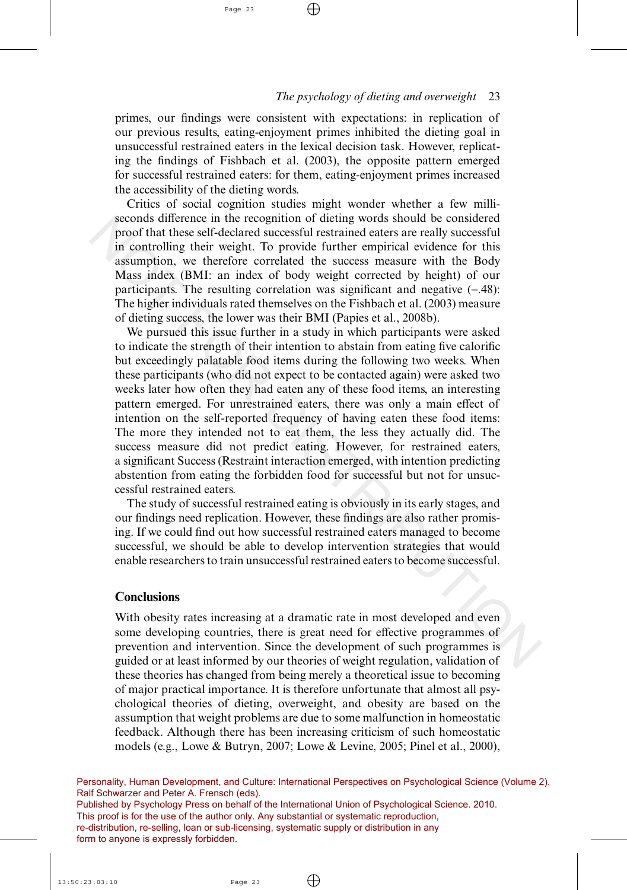#### *The psychology of dieting and overweight* 23

primes, our findings were consistent with expectations: in replication of our previous results, eating-enjoyment primes inhibited the dieting goal in unsuccessful restrained eaters in the lexical decision task. However, replicating the findings of Fishbach et al. (2003), the opposite pattern emerged for successful restrained eaters: for them, eating-enjoyment primes increased the accessibility of the dieting words.

 $\oplus$ 

Page 23

Critics of social cognition studies might wonder whether a few milliseconds difference in the recognition of dieting words should be considered proof that these self-declared successful restrained eaters are really successful in controlling their weight. To provide further empirical evidence for this assumption, we therefore correlated the success measure with the Body Mass index (BMI: an index of body weight corrected by height) of our participants. The resulting correlation was significant and negative (−.48): The higher individuals rated themselves on the Fishbach et al. (2003) measure of dieting success, the lower was their BMI (Papies et al., 2008b).

seconds difference in the recognition of deting words should be considered and<br>proof that these self-declared successful restrained caters are really successful<br>in controlling their weight. To provide further empirical evi We pursued this issue further in a study in which participants were asked to indicate the strength of their intention to abstain from eating five calorific but exceedingly palatable food items during the following two weeks. When these participants (who did not expect to be contacted again) were asked two weeks later how often they had eaten any of these food items, an interesting pattern emerged. For unrestrained eaters, there was only a main effect of intention on the self-reported frequency of having eaten these food items: The more they intended not to eat them, the less they actually did. The success measure did not predict eating. However, for restrained eaters, a significant Success (Restraint interaction emerged, with intention predicting abstention from eating the forbidden food for successful but not for unsuccessful restrained eaters.

The study of successful restrained eating is obviously in its early stages, and our findings need replication. However, these findings are also rather promising. If we could find out how successful restrained eaters managed to become successful, we should be able to develop intervention strategies that would enable researchers to train unsuccessful restrained eaters to become successful.

## **Conclusions**

With obesity rates increasing at a dramatic rate in most developed and even some developing countries, there is great need for effective programmes of prevention and intervention. Since the development of such programmes is guided or at least informed by our theories of weight regulation, validation of these theories has changed from being merely a theoretical issue to becoming of major practical importance. It is therefore unfortunate that almost all psychological theories of dieting, overweight, and obesity are based on the assumption that weight problems are due to some malfunction in homeostatic feedback. Although there has been increasing criticism of such homeostatic models (e.g., Lowe & Butryn, 2007; Lowe & Levine, 2005; Pinel et al., 2000),

Personality, Human Development, and Culture: International Perspectives on Psychological Science (Volume 2). Ralf Schwarzer and Peter A. Frensch (eds).

 $\oplus$ 

Published by Psychology Press on behalf of the International Union of Psychological Science. 2010. This proof is for the use of the author only. Any substantial or systematic reproduction, re-distribution, re-selling, loan or sub-licensing, systematic supply or distribution in any form to anyone is expressly forbidden.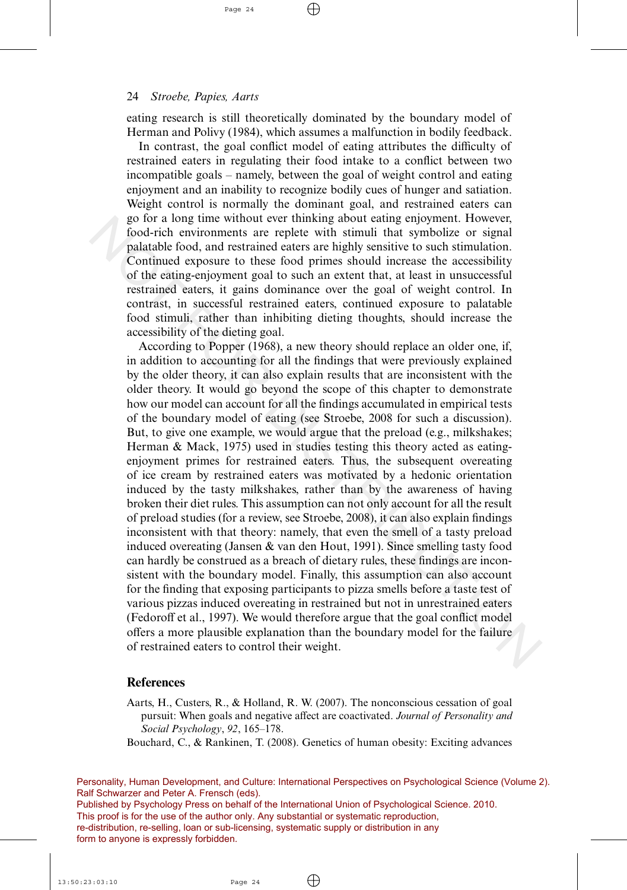⊕

#### 24 *Stroebe, Papies, Aarts*

eating research is still theoretically dominated by the boundary model of Herman and Polivy (1984), which assumes a malfunction in bodily feedback.

In contrast, the goal conflict model of eating attributes the difficulty of restrained eaters in regulating their food intake to a conflict between two incompatible goals – namely, between the goal of weight control and eating enjoyment and an inability to recognize bodily cues of hunger and satiation. Weight control is normally the dominant goal, and restrained eaters can go for a long time without ever thinking about eating enjoyment. However, food-rich environments are replete with stimuli that symbolize or signal palatable food, and restrained eaters are highly sensitive to such stimulation. Continued exposure to these food primes should increase the accessibility of the eating-enjoyment goal to such an extent that, at least in unsuccessful restrained eaters, it gains dominance over the goal of weight control. In contrast, in successful restrained eaters, continued exposure to palatable food stimuli, rather than inhibiting dieting thoughts, should increase the accessibility of the dieting goal.

go to ra iong time without ever thinking about eating enyopen. However, for a long time of eding enyops for a long-time protocol-rich environments are replete with simulai that symbolize or signal palatable food, and restr According to Popper (1968), a new theory should replace an older one, if, in addition to accounting for all the findings that were previously explained by the older theory, it can also explain results that are inconsistent with the older theory. It would go beyond the scope of this chapter to demonstrate how our model can account for all the findings accumulated in empirical tests of the boundary model of eating (see Stroebe, 2008 for such a discussion). But, to give one example, we would argue that the preload (e.g., milkshakes; Herman & Mack, 1975) used in studies testing this theory acted as eatingenjoyment primes for restrained eaters. Thus, the subsequent overeating of ice cream by restrained eaters was motivated by a hedonic orientation induced by the tasty milkshakes, rather than by the awareness of having broken their diet rules. This assumption can not only account for all the result of preload studies (for a review, see Stroebe, 2008), it can also explain findings inconsistent with that theory: namely, that even the smell of a tasty preload induced overeating (Jansen & van den Hout, 1991). Since smelling tasty food can hardly be construed as a breach of dietary rules, these findings are inconsistent with the boundary model. Finally, this assumption can also account for the finding that exposing participants to pizza smells before a taste test of various pizzas induced overeating in restrained but not in unrestrained eaters (Fedoroff et al., 1997). We would therefore argue that the goal conflict model offers a more plausible explanation than the boundary model for the failure of restrained eaters to control their weight.

#### **References**

- Aarts, H., Custers, R., & Holland, R. W. (2007). The nonconscious cessation of goal pursuit: When goals and negative affect are coactivated. *Journal of Personality and Social Psychology*, *92*, 165–178.
- Bouchard, C., & Rankinen, T. (2008). Genetics of human obesity: Exciting advances

Personality, Human Development, and Culture: International Perspectives on Psychological Science (Volume 2). Ralf Schwarzer and Peter A. Frensch (eds).

Æ

Published by Psychology Press on behalf of the International Union of Psychological Science. 2010. This proof is for the use of the author only. Any substantial or systematic reproduction, re-distribution, re-selling, loan or sub-licensing, systematic supply or distribution in any form to anyone is expressly forbidden.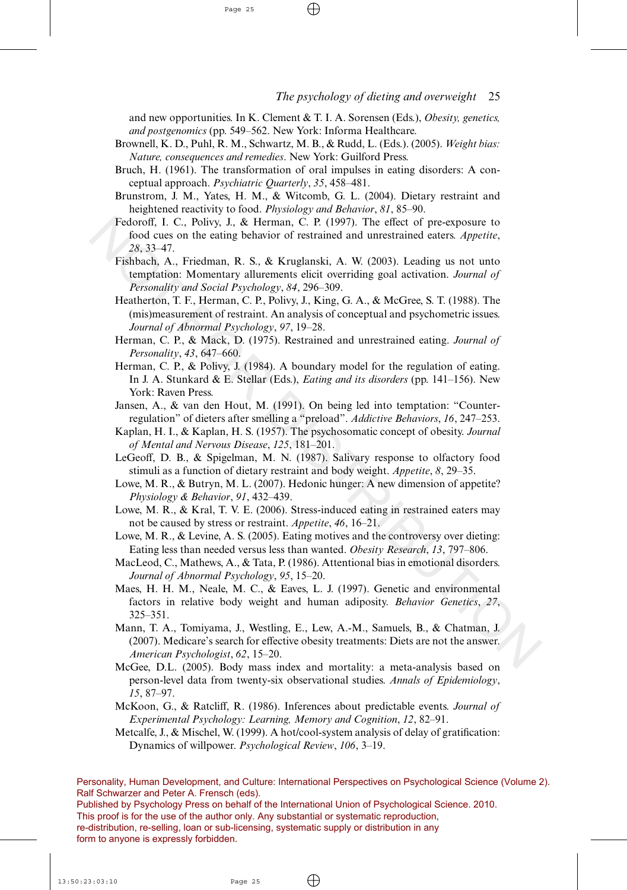#### *The psychology of dieting and overweight* 25

and new opportunities. In K. Clement & T. I. A. Sorensen (Eds.), *Obesity, genetics, and postgenomics* (pp. 549–562. New York: Informa Healthcare.

 $\oplus$ 

Brownell, K. D., Puhl, R. M., Schwartz, M. B., & Rudd, L. (Eds.). (2005). *Weight bias: Nature, consequences and remedies*. New York: Guilford Press.

Page 25

- Bruch, H. (1961). The transformation of oral impulses in eating disorders: A conceptual approach. *Psychiatric Quarterly*, *35*, 458–481.
- Brunstrom, J. M., Yates, H. M., & Witcomb, G. L. (2004). Dietary restraint and heightened reactivity to food. *Physiology and Behavior*, *81*, 85–90.
- Fedoroff, 1. C., Dolivy, J., & Hermann, C. P. (1997). The effect of pre-exposure to<br>fored cues on the eating behavior of restrained and unrestrained eaters. *Apelitie,*<br> $28,33,47$ . Findenth, A., Findenth, R. S., & Kruglan Fedoroff, I. C., Polivy, J., & Herman, C. P. (1997). The effect of pre-exposure to food cues on the eating behavior of restrained and unrestrained eaters. *Appetite*, *28*, 33–47.
	- Fishbach, A., Friedman, R. S., & Kruglanski, A. W. (2003). Leading us not unto temptation: Momentary allurements elicit overriding goal activation. *Journal of Personality and Social Psychology*, *84*, 296–309.
	- Heatherton, T. F., Herman, C. P., Polivy, J., King, G. A., & McGree, S. T. (1988). The (mis)measurement of restraint. An analysis of conceptual and psychometric issues. *Journal of Abnormal Psychology*, *97*, 19–28.
	- Herman, C. P., & Mack, D. (1975). Restrained and unrestrained eating. *Journal of Personality*, *43*, 647–660.
	- Herman, C. P., & Polivy, J. (1984). A boundary model for the regulation of eating. In J. A. Stunkard & E. Stellar (Eds.), *Eating and its disorders* (pp. 141–156). New York: Raven Press.
	- Jansen, A., & van den Hout, M. (1991). On being led into temptation: "Counterregulation" of dieters after smelling a "preload". *Addictive Behaviors*, *16*, 247–253.
	- Kaplan, H. I., & Kaplan, H. S. (1957). The psychosomatic concept of obesity. *Journal of Mental and Nervous Disease*, *125*, 181–201.
	- LeGeoff, D. B., & Spigelman, M. N. (1987). Salivary response to olfactory food stimuli as a function of dietary restraint and body weight. *Appetite*, *8*, 29–35.
	- Lowe, M. R., & Butryn, M. L. (2007). Hedonic hunger: A new dimension of appetite? *Physiology & Behavior*, *91*, 432–439.
	- Lowe, M. R., & Kral, T. V. E. (2006). Stress-induced eating in restrained eaters may not be caused by stress or restraint. *Appetite*, *46*, 16–21.
	- Lowe, M. R., & Levine, A. S. (2005). Eating motives and the controversy over dieting: Eating less than needed versus less than wanted. *Obesity Research*, *13*, 797–806.
	- MacLeod, C., Mathews, A., & Tata, P. (1986). Attentional bias in emotional disorders. *Journal of Abnormal Psychology*, *95*, 15–20.
	- Maes, H. H. M., Neale, M. C., & Eaves, L. J. (1997). Genetic and environmental factors in relative body weight and human adiposity. *Behavior Genetics*, *27*, 325–351.
	- Mann, T. A., Tomiyama, J., Westling, E., Lew, A.-M., Samuels, B., & Chatman, J. (2007). Medicare's search for effective obesity treatments: Diets are not the answer. *American Psychologist*, *62*, 15–20.
	- McGee, D.L. (2005). Body mass index and mortality: a meta-analysis based on person-level data from twenty-six observational studies. *Annals of Epidemiology*, *15*, 87–97.
	- McKoon, G., & Ratcliff, R. (1986). Inferences about predictable events. *Journal of Experimental Psychology: Learning, Memory and Cognition*, *12*, 82–91.
	- Metcalfe, J., & Mischel, W. (1999). A hot/cool-system analysis of delay of gratification: Dynamics of willpower. *Psychological Review*, *106*, 3–19.

Personality, Human Development, and Culture: International Perspectives on Psychological Science (Volume 2). Ralf Schwarzer and Peter A. Frensch (eds).

⊕

Published by Psychology Press on behalf of the International Union of Psychological Science. 2010. This proof is for the use of the author only. Any substantial or systematic reproduction, re-distribution, re-selling, loan or sub-licensing, systematic supply or distribution in any form to anyone is expressly forbidden.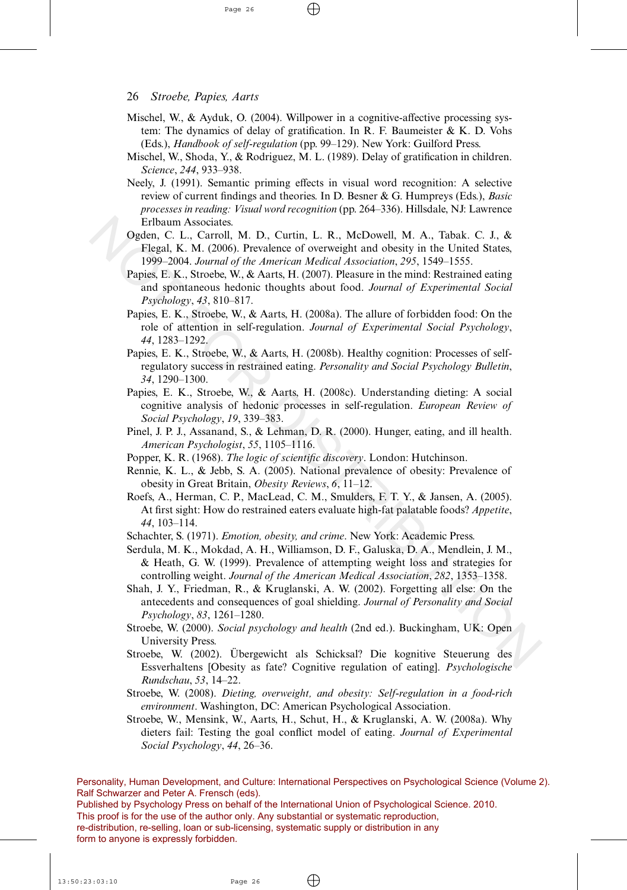$\oplus$ 

#### 26 *Stroebe, Papies, Aarts*

- Mischel, W., & Ayduk, O. (2004). Willpower in a cognitive-affective processing system: The dynamics of delay of gratification. In R. F. Baumeister & K. D. Vohs (Eds.), *Handbook of self-regulation* (pp. 99–129). New York: Guilford Press.
- Mischel, W., Shoda, Y., & Rodriguez, M. L. (1989). Delay of gratification in children. *Science*, *244*, 933–938.
- Neely, J. (1991). Semantic priming effects in visual word recognition: A selective review of current findings and theories. In D. Besner & G. Humpreys (Eds.), *Basic processes in reading: Visual word recognition* (pp. 264–336). Hillsdale, NJ: Lawrence Erlbaum Associates.
- Ogden, C. L., Carroll, M. D., Curtin, L. R., McDowell, M. A., Tabak. C. J., & Flegal, K. M. (2006). Prevalence of overweight and obesity in the United States, 1999–2004. *Journal of the American Medical Association*, *295*, 1549–1555.
- Papies, E. K., Stroebe, W., & Aarts, H. (2007). Pleasure in the mind: Restrained eating and spontaneous hedonic thoughts about food. *Journal of Experimental Social Psychology*, *43*, 810–817.
- Papies, E. K., Stroebe, W., & Aarts, H. (2008a). The allure of forbidden food: On the role of attention in self-regulation. *Journal of Experimental Social Psychology*, *44*, 1283–1292.
- Friedral Associates<br>
Ogden, C. L., Carroll, M. D., Curtin, L. R., McDowell, M. A., Tabak. C. J., &<br>
Flegal, K. M. (2000). Prevalence of overweight and obesity in the United States,<br>
1999-2004. Journal of the American Medi Papies, E. K., Stroebe, W., & Aarts, H. (2008b). Healthy cognition: Processes of selfregulatory success in restrained eating. *Personality and Social Psychology Bulletin*, *34*, 1290–1300.
	- Papies, E. K., Stroebe, W., & Aarts, H. (2008c). Understanding dieting: A social cognitive analysis of hedonic processes in self-regulation. *European Review of Social Psychology*, *19*, 339–383.
	- Pinel, J. P. J., Assanand, S., & Lehman, D. R. (2000). Hunger, eating, and ill health. *American Psychologist*, *55*, 1105–1116.
	- Popper, K. R. (1968). *The logic of scientific discovery*. London: Hutchinson.
	- Rennie, K. L., & Jebb, S. A. (2005). National prevalence of obesity: Prevalence of obesity in Great Britain, *Obesity Reviews*, *6*, 11–12.
	- Roefs, A., Herman, C. P., MacLead, C. M., Smulders, F. T. Y., & Jansen, A. (2005). At first sight: How do restrained eaters evaluate high-fat palatable foods? *Appetite*, *44*, 103–114.
	- Schachter, S. (1971). *Emotion, obesity, and crime*. New York: Academic Press.
	- Serdula, M. K., Mokdad, A. H., Williamson, D. F., Galuska, D. A., Mendlein, J. M., & Heath, G. W. (1999). Prevalence of attempting weight loss and strategies for controlling weight. *Journal of the American Medical Association*, *282*, 1353–1358.
	- Shah, J. Y., Friedman, R., & Kruglanski, A. W. (2002). Forgetting all else: On the antecedents and consequences of goal shielding. *Journal of Personality and Social Psychology*, *83*, 1261–1280.
	- Stroebe, W. (2000). *Social psychology and health* (2nd ed.). Buckingham, UK: Open University Press.
	- Stroebe, W. (2002). Übergewicht als Schicksal? Die kognitive Steuerung des Essverhaltens [Obesity as fate? Cognitive regulation of eating]. *Psychologische Rundschau*, *53*, 14–22.
	- Stroebe, W. (2008). *Dieting, overweight, and obesity: Self-regulation in a food-rich environment*. Washington, DC: American Psychological Association.
	- Stroebe, W., Mensink, W., Aarts, H., Schut, H., & Kruglanski, A. W. (2008a). Why dieters fail: Testing the goal conflict model of eating. *Journal of Experimental Social Psychology*, *44*, 26–36.

Personality, Human Development, and Culture: International Perspectives on Psychological Science (Volume 2). Ralf Schwarzer and Peter A. Frensch (eds).

Æ

Published by Psychology Press on behalf of the International Union of Psychological Science. 2010. This proof is for the use of the author only. Any substantial or systematic reproduction, re-distribution, re-selling, loan or sub-licensing, systematic supply or distribution in any form to anyone is expressly forbidden.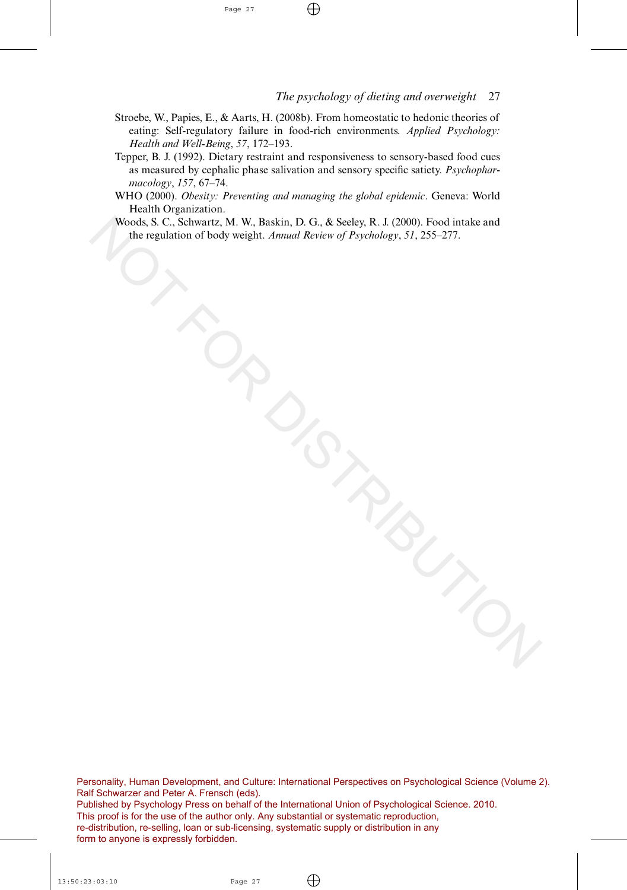# *The psychology of dieting and overweight* 27

I DISTRIBUTION

Stroebe, W., Papies, E., & Aarts, H. (2008b). From homeostatic to hedonic theories of eating: Self-regulatory failure in food-rich environments. *Applied Psychology: Health and Well-Being*, *57*, 172–193.

 $\oplus$ 

Page 27

- Tepper, B. J. (1992). Dietary restraint and responsiveness to sensory-based food cues as measured by cephalic phase salivation and sensory specific satiety. *Psychopharmacology*, *157*, 67–74.
- WHO (2000). *Obesity: Preventing and managing the global epidemic*. Geneva: World Health Organization.
- Woods, S. C., Schwartz, M. W., Baskin, D. G., & Seeley, R. J. (2000). Food intake and the regulation of body weight. *Annual Review of Psychology*, *51*, 255–277.

Personality, Human Development, and Culture: International Perspectives on Psychological Science (Volume 2). Ralf Schwarzer and Peter A. Frensch (eds). Published by Psychology Press on behalf of the International Union of Psychological Science. 2010. This proof is for the use of the author only. Any substantial or systematic reproduction, re-distribution, re-selling, loan or sub-licensing, systematic supply or distribution in any form to anyone is expressly forbidden.